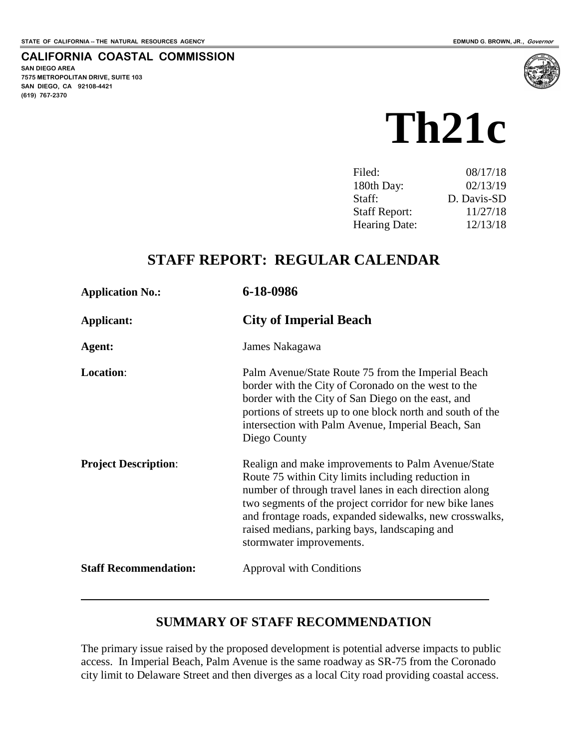#### **CALIFORNIA COASTAL COMMISSION**

**SAN DIEGO AREA 7575 METROPOLITAN DRIVE, SUITE 103 SAN DIEGO, CA 92108-4421 (619) 767-2370**



| Filed:               | 08/17/18    |
|----------------------|-------------|
| 180th Day:           | 02/13/19    |
| Staff:               | D. Davis-SD |
| <b>Staff Report:</b> | 11/27/18    |
| <b>Hearing Date:</b> | 12/13/18    |

# **STAFF REPORT: REGULAR CALENDAR**

| <b>Application No.:</b>      | 6-18-0986                                                                                                                                                                                                                                                                                                                                                             |
|------------------------------|-----------------------------------------------------------------------------------------------------------------------------------------------------------------------------------------------------------------------------------------------------------------------------------------------------------------------------------------------------------------------|
| <b>Applicant:</b>            | <b>City of Imperial Beach</b>                                                                                                                                                                                                                                                                                                                                         |
| Agent:                       | James Nakagawa                                                                                                                                                                                                                                                                                                                                                        |
| Location:                    | Palm Avenue/State Route 75 from the Imperial Beach<br>border with the City of Coronado on the west to the<br>border with the City of San Diego on the east, and<br>portions of streets up to one block north and south of the<br>intersection with Palm Avenue, Imperial Beach, San<br>Diego County                                                                   |
| <b>Project Description:</b>  | Realign and make improvements to Palm Avenue/State<br>Route 75 within City limits including reduction in<br>number of through travel lanes in each direction along<br>two segments of the project corridor for new bike lanes<br>and frontage roads, expanded sidewalks, new crosswalks,<br>raised medians, parking bays, landscaping and<br>stormwater improvements. |
| <b>Staff Recommendation:</b> | <b>Approval with Conditions</b>                                                                                                                                                                                                                                                                                                                                       |

# **SUMMARY OF STAFF RECOMMENDATION**

The primary issue raised by the proposed development is potential adverse impacts to public access. In Imperial Beach, Palm Avenue is the same roadway as SR-75 from the Coronado city limit to Delaware Street and then diverges as a local City road providing coastal access.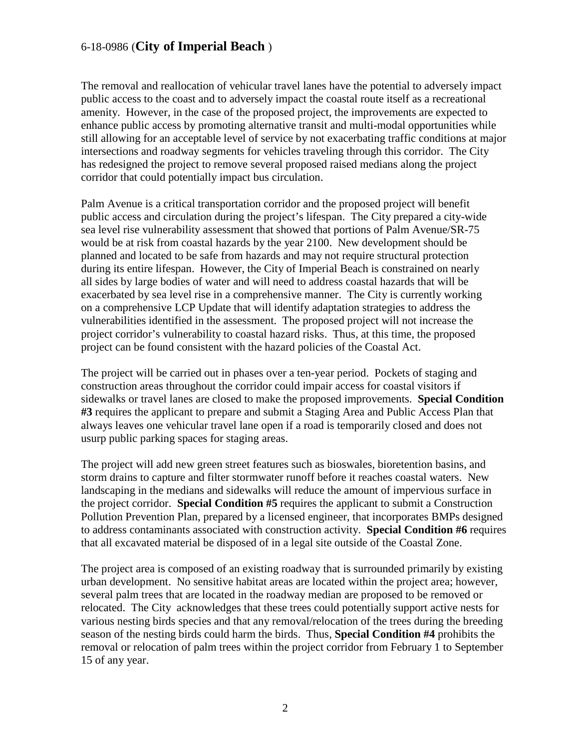The removal and reallocation of vehicular travel lanes have the potential to adversely impact public access to the coast and to adversely impact the coastal route itself as a recreational amenity. However, in the case of the proposed project, the improvements are expected to enhance public access by promoting alternative transit and multi-modal opportunities while still allowing for an acceptable level of service by not exacerbating traffic conditions at major intersections and roadway segments for vehicles traveling through this corridor. The City has redesigned the project to remove several proposed raised medians along the project corridor that could potentially impact bus circulation.

Palm Avenue is a critical transportation corridor and the proposed project will benefit public access and circulation during the project's lifespan. The City prepared a city-wide sea level rise vulnerability assessment that showed that portions of Palm Avenue/SR-75 would be at risk from coastal hazards by the year 2100. New development should be planned and located to be safe from hazards and may not require structural protection during its entire lifespan. However, the City of Imperial Beach is constrained on nearly all sides by large bodies of water and will need to address coastal hazards that will be exacerbated by sea level rise in a comprehensive manner. The City is currently working on a comprehensive LCP Update that will identify adaptation strategies to address the vulnerabilities identified in the assessment. The proposed project will not increase the project corridor's vulnerability to coastal hazard risks. Thus, at this time, the proposed project can be found consistent with the hazard policies of the Coastal Act.

The project will be carried out in phases over a ten-year period. Pockets of staging and construction areas throughout the corridor could impair access for coastal visitors if sidewalks or travel lanes are closed to make the proposed improvements. **Special Condition #3** requires the applicant to prepare and submit a Staging Area and Public Access Plan that always leaves one vehicular travel lane open if a road is temporarily closed and does not usurp public parking spaces for staging areas.

The project will add new green street features such as bioswales, bioretention basins, and storm drains to capture and filter stormwater runoff before it reaches coastal waters. New landscaping in the medians and sidewalks will reduce the amount of impervious surface in the project corridor. **Special Condition #5** requires the applicant to submit a Construction Pollution Prevention Plan, prepared by a licensed engineer, that incorporates BMPs designed to address contaminants associated with construction activity. **Special Condition #6** requires that all excavated material be disposed of in a legal site outside of the Coastal Zone.

The project area is composed of an existing roadway that is surrounded primarily by existing urban development. No sensitive habitat areas are located within the project area; however, several palm trees that are located in the roadway median are proposed to be removed or relocated. The City acknowledges that these trees could potentially support active nests for various nesting birds species and that any removal/relocation of the trees during the breeding season of the nesting birds could harm the birds. Thus, **Special Condition #4** prohibits the removal or relocation of palm trees within the project corridor from February 1 to September 15 of any year.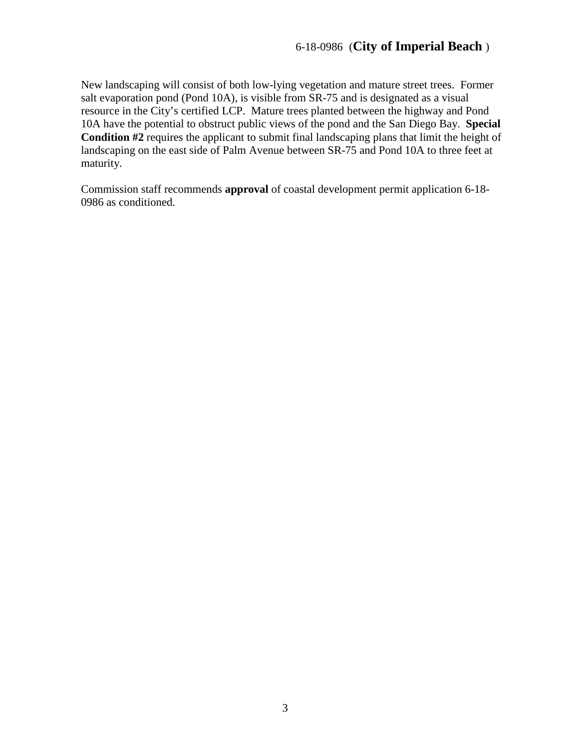New landscaping will consist of both low-lying vegetation and mature street trees. Former salt evaporation pond (Pond 10A), is visible from SR-75 and is designated as a visual resource in the City's certified LCP. Mature trees planted between the highway and Pond 10A have the potential to obstruct public views of the pond and the San Diego Bay. **Special Condition #2** requires the applicant to submit final landscaping plans that limit the height of landscaping on the east side of Palm Avenue between SR-75 and Pond 10A to three feet at maturity.

Commission staff recommends **approval** of coastal development permit application 6-18- 0986 as conditioned.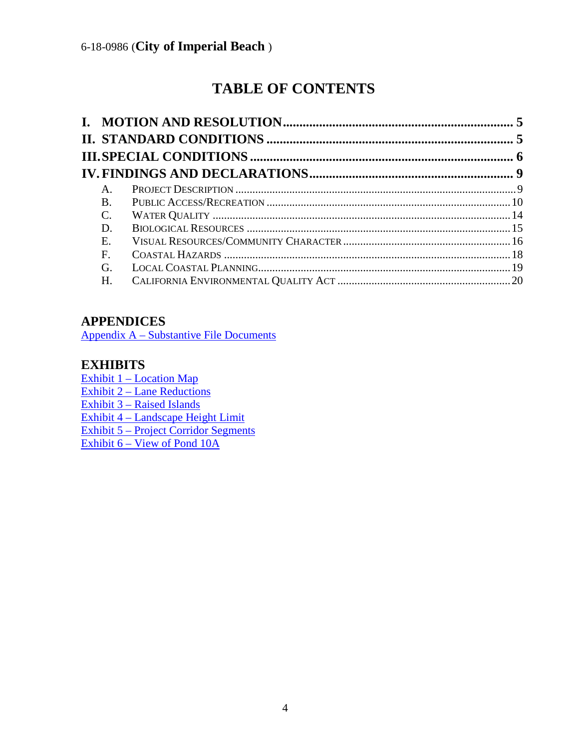# **TABLE OF CONTENTS**

| A.         |  |
|------------|--|
| <b>B</b> . |  |
| C.         |  |
| D.         |  |
| Ε.         |  |
| F.         |  |
| G.         |  |
| Н.         |  |
|            |  |

# **APPENDICES**

Appendix A – [Substantive File Documents](#page-20-0)

# **EXHIBITS**

Exhibit 1 – [Location Map](https://documents.coastal.ca.gov/reports/2018/12/th21c/th21c-12-2018-exhibits.pdf) Exhibit 2 – [Lane Reductions](https://documents.coastal.ca.gov/reports/2018/12/th21c/th21c-12-2018-exhibits.pdf) Exhibit 3 – [Raised Islands](https://documents.coastal.ca.gov/reports/2018/12/th21c/th21c-12-2018-exhibits.pdf) Exhibit 4 – [Landscape Height Limit](https://documents.coastal.ca.gov/reports/2018/12/th21c/th21c-12-2018-exhibits.pdf) Exhibit 5 – [Project Corridor Segments](https://documents.coastal.ca.gov/reports/2018/12/th21c/th21c-12-2018-exhibits.pdf) Exhibit 6 – View of Pond 10A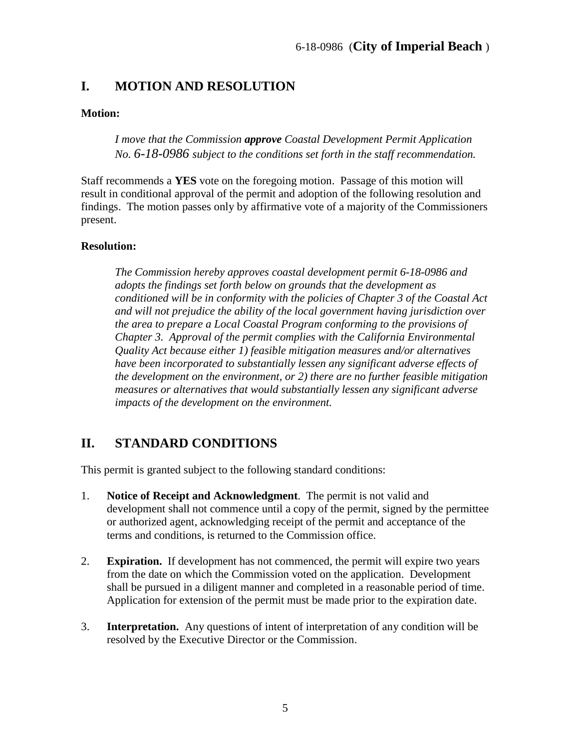# <span id="page-4-0"></span>**I. MOTION AND RESOLUTION**

#### **Motion:**

*I move that the Commission approve Coastal Development Permit Application No. 6-18-0986 subject to the conditions set forth in the staff recommendation.*

Staff recommends a **YES** vote on the foregoing motion. Passage of this motion will result in conditional approval of the permit and adoption of the following resolution and findings. The motion passes only by affirmative vote of a majority of the Commissioners present.

#### **Resolution:**

*The Commission hereby approves coastal development permit 6-18-0986 and adopts the findings set forth below on grounds that the development as conditioned will be in conformity with the policies of Chapter 3 of the Coastal Act and will not prejudice the ability of the local government having jurisdiction over the area to prepare a Local Coastal Program conforming to the provisions of Chapter 3. Approval of the permit complies with the California Environmental Quality Act because either 1) feasible mitigation measures and/or alternatives have been incorporated to substantially lessen any significant adverse effects of the development on the environment, or 2) there are no further feasible mitigation measures or alternatives that would substantially lessen any significant adverse impacts of the development on the environment.*

# <span id="page-4-1"></span>**II. STANDARD CONDITIONS**

This permit is granted subject to the following standard conditions:

- 1. **Notice of Receipt and Acknowledgment**. The permit is not valid and development shall not commence until a copy of the permit, signed by the permittee or authorized agent, acknowledging receipt of the permit and acceptance of the terms and conditions, is returned to the Commission office.
- 2. **Expiration.** If development has not commenced, the permit will expire two years from the date on which the Commission voted on the application. Development shall be pursued in a diligent manner and completed in a reasonable period of time. Application for extension of the permit must be made prior to the expiration date.
- 3. **Interpretation.** Any questions of intent of interpretation of any condition will be resolved by the Executive Director or the Commission.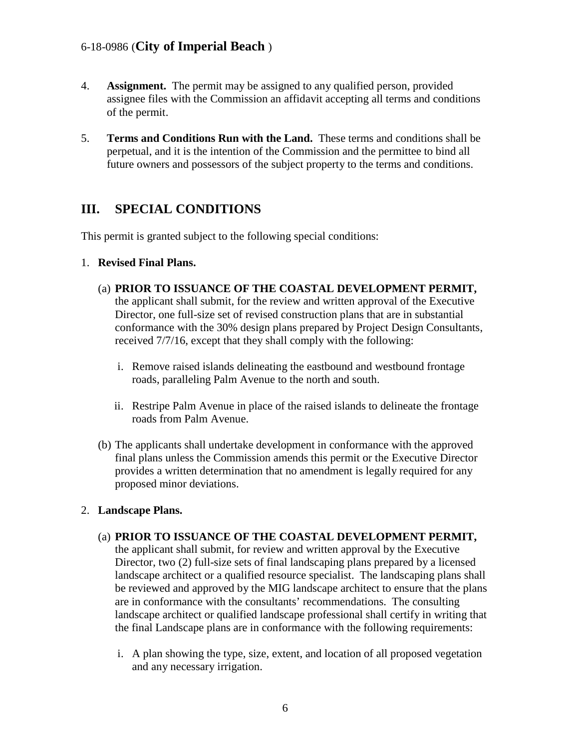- 4. **Assignment.** The permit may be assigned to any qualified person, provided assignee files with the Commission an affidavit accepting all terms and conditions of the permit.
- 5. **Terms and Conditions Run with the Land.** These terms and conditions shall be perpetual, and it is the intention of the Commission and the permittee to bind all future owners and possessors of the subject property to the terms and conditions.

# <span id="page-5-0"></span>**III. SPECIAL CONDITIONS**

This permit is granted subject to the following special conditions:

- 1. **Revised Final Plans.** 
	- (a) **PRIOR TO ISSUANCE OF THE COASTAL DEVELOPMENT PERMIT,** the applicant shall submit, for the review and written approval of the Executive Director, one full-size set of revised construction plans that are in substantial conformance with the 30% design plans prepared by Project Design Consultants, received 7/7/16, except that they shall comply with the following:
		- i. Remove raised islands delineating the eastbound and westbound frontage roads, paralleling Palm Avenue to the north and south.
		- ii. Restripe Palm Avenue in place of the raised islands to delineate the frontage roads from Palm Avenue.
	- (b) The applicants shall undertake development in conformance with the approved final plans unless the Commission amends this permit or the Executive Director provides a written determination that no amendment is legally required for any proposed minor deviations.

#### 2. **Landscape Plans.**

- (a) **PRIOR TO ISSUANCE OF THE COASTAL DEVELOPMENT PERMIT,** the applicant shall submit, for review and written approval by the Executive Director, two (2) full-size sets of final landscaping plans prepared by a licensed landscape architect or a qualified resource specialist. The landscaping plans shall be reviewed and approved by the MIG landscape architect to ensure that the plans are in conformance with the consultants' recommendations. The consulting landscape architect or qualified landscape professional shall certify in writing that the final Landscape plans are in conformance with the following requirements:
	- i. A plan showing the type, size, extent, and location of all proposed vegetation and any necessary irrigation.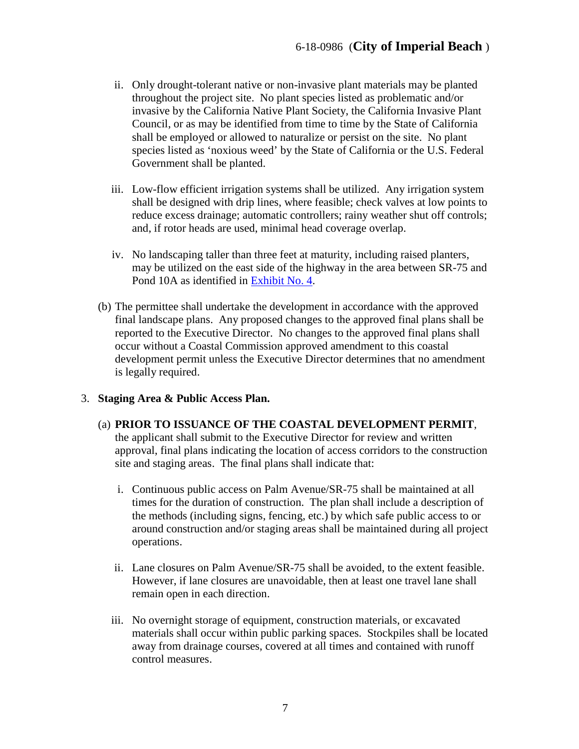- ii. Only drought-tolerant native or non-invasive plant materials may be planted throughout the project site. No plant species listed as problematic and/or invasive by the California Native Plant Society, the California Invasive Plant Council, or as may be identified from time to time by the State of California shall be employed or allowed to naturalize or persist on the site. No plant species listed as 'noxious weed' by the State of California or the U.S. Federal Government shall be planted.
- iii. Low-flow efficient irrigation systems shall be utilized. Any irrigation system shall be designed with drip lines, where feasible; check valves at low points to reduce excess drainage; automatic controllers; rainy weather shut off controls; and, if rotor heads are used, minimal head coverage overlap.
- iv. No landscaping taller than three feet at maturity, including raised planters, may be utilized on the east side of the highway in the area between SR-75 and Pond 10A as identified in [Exhibit No. 4.](https://documents.coastal.ca.gov/reports/2018/12/th21c/th21c-12-2018-exhibits.pdf)
- (b) The permittee shall undertake the development in accordance with the approved final landscape plans. Any proposed changes to the approved final plans shall be reported to the Executive Director. No changes to the approved final plans shall occur without a Coastal Commission approved amendment to this coastal development permit unless the Executive Director determines that no amendment is legally required.

#### 3. **Staging Area & Public Access Plan.**

- (a) **PRIOR TO ISSUANCE OF THE COASTAL DEVELOPMENT PERMIT**, the applicant shall submit to the Executive Director for review and written approval, final plans indicating the location of access corridors to the construction site and staging areas. The final plans shall indicate that:
	- i. Continuous public access on Palm Avenue/SR-75 shall be maintained at all times for the duration of construction. The plan shall include a description of the methods (including signs, fencing, etc.) by which safe public access to or around construction and/or staging areas shall be maintained during all project operations.
	- ii. Lane closures on Palm Avenue/SR-75 shall be avoided, to the extent feasible. However, if lane closures are unavoidable, then at least one travel lane shall remain open in each direction.
	- iii. No overnight storage of equipment, construction materials, or excavated materials shall occur within public parking spaces. Stockpiles shall be located away from drainage courses, covered at all times and contained with runoff control measures.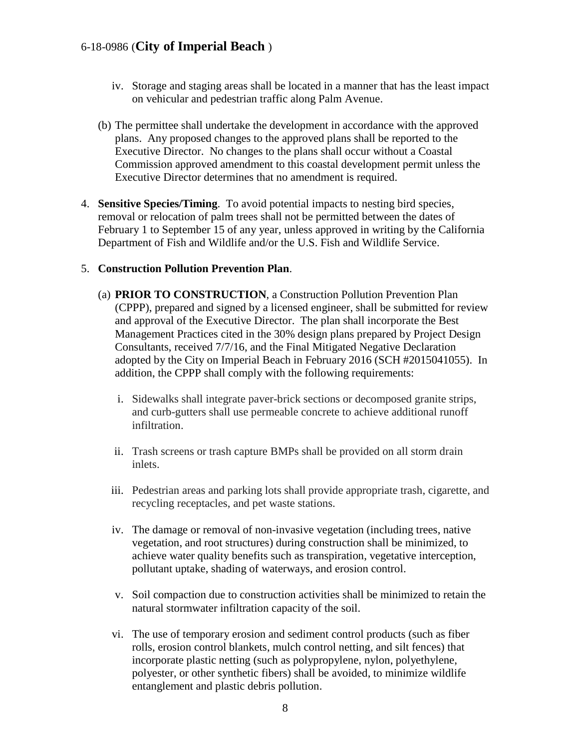- iv. Storage and staging areas shall be located in a manner that has the least impact on vehicular and pedestrian traffic along Palm Avenue.
- (b) The permittee shall undertake the development in accordance with the approved plans. Any proposed changes to the approved plans shall be reported to the Executive Director. No changes to the plans shall occur without a Coastal Commission approved amendment to this coastal development permit unless the Executive Director determines that no amendment is required.
- 4. **Sensitive Species/Timing**. To avoid potential impacts to nesting bird species, removal or relocation of palm trees shall not be permitted between the dates of February 1 to September 15 of any year, unless approved in writing by the California Department of Fish and Wildlife and/or the U.S. Fish and Wildlife Service.

#### 5. **Construction Pollution Prevention Plan**.

- (a) **PRIOR TO CONSTRUCTION**, a Construction Pollution Prevention Plan (CPPP), prepared and signed by a licensed engineer, shall be submitted for review and approval of the Executive Director. The plan shall incorporate the Best Management Practices cited in the 30% design plans prepared by Project Design Consultants, received 7/7/16, and the Final Mitigated Negative Declaration adopted by the City on Imperial Beach in February 2016 (SCH #2015041055). In addition, the CPPP shall comply with the following requirements:
	- i. Sidewalks shall integrate paver-brick sections or decomposed granite strips, and curb-gutters shall use permeable concrete to achieve additional runoff infiltration.
	- ii. Trash screens or trash capture BMPs shall be provided on all storm drain inlets.
	- iii. Pedestrian areas and parking lots shall provide appropriate trash, cigarette, and recycling receptacles, and pet waste stations.
	- iv. The damage or removal of non-invasive vegetation (including trees, native vegetation, and root structures) during construction shall be minimized, to achieve water quality benefits such as transpiration, vegetative interception, pollutant uptake, shading of waterways, and erosion control.
	- v. Soil compaction due to construction activities shall be minimized to retain the natural stormwater infiltration capacity of the soil.
	- vi. The use of temporary erosion and sediment control products (such as fiber rolls, erosion control blankets, mulch control netting, and silt fences) that incorporate plastic netting (such as polypropylene, nylon, polyethylene, polyester, or other synthetic fibers) shall be avoided, to minimize wildlife entanglement and plastic debris pollution.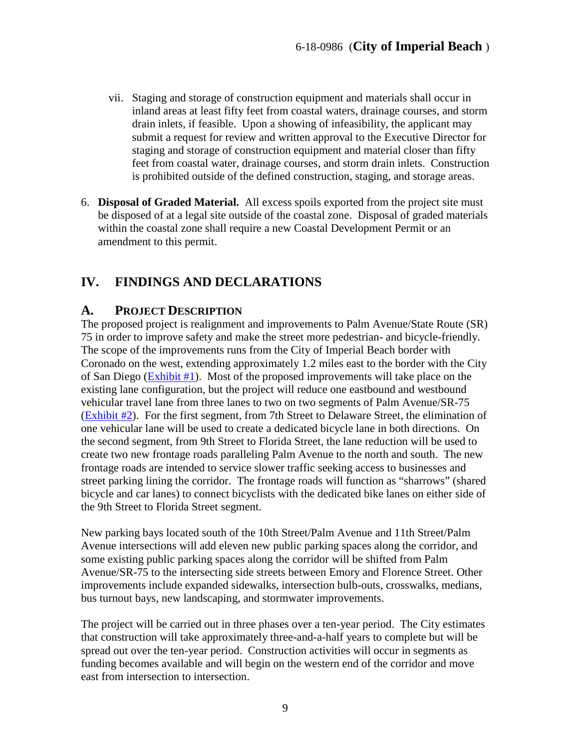- vii. Staging and storage of construction equipment and materials shall occur in inland areas at least fifty feet from coastal waters, drainage courses, and storm drain inlets, if feasible. Upon a showing of infeasibility, the applicant may submit a request for review and written approval to the Executive Director for staging and storage of construction equipment and material closer than fifty feet from coastal water, drainage courses, and storm drain inlets. Construction is prohibited outside of the defined construction, staging, and storage areas.
- 6. **Disposal of Graded Material.** All excess spoils exported from the project site must be disposed of at a legal site outside of the coastal zone. Disposal of graded materials within the coastal zone shall require a new Coastal Development Permit or an amendment to this permit.

# <span id="page-8-0"></span>**IV. FINDINGS AND DECLARATIONS**

## <span id="page-8-1"></span>**A. PROJECT DESCRIPTION**

The proposed project is realignment and improvements to Palm Avenue/State Route (SR) 75 in order to improve safety and make the street more pedestrian- and bicycle-friendly. The scope of the improvements runs from the City of Imperial Beach border with Coronado on the west, extending approximately 1.2 miles east to the border with the City of San Diego [\(Exhibit #1\)](https://documents.coastal.ca.gov/reports/2018/12/th21c/th21c-12-2018-exhibits.pdf). Most of the proposed improvements will take place on the existing lane configuration, but the project will reduce one eastbound and westbound vehicular travel lane from three lanes to two on two segments of Palm Avenue/SR-75 [\(Exhibit #2\)](https://documents.coastal.ca.gov/reports/2018/12/th21c/th21c-12-2018-exhibits.pdf). For the first segment, from 7th Street to Delaware Street, the elimination of one vehicular lane will be used to create a dedicated bicycle lane in both directions. On the second segment, from 9th Street to Florida Street, the lane reduction will be used to create two new frontage roads paralleling Palm Avenue to the north and south. The new frontage roads are intended to service slower traffic seeking access to businesses and street parking lining the corridor. The frontage roads will function as "sharrows" (shared bicycle and car lanes) to connect bicyclists with the dedicated bike lanes on either side of the 9th Street to Florida Street segment.

New parking bays located south of the 10th Street/Palm Avenue and 11th Street/Palm Avenue intersections will add eleven new public parking spaces along the corridor, and some existing public parking spaces along the corridor will be shifted from Palm Avenue/SR-75 to the intersecting side streets between Emory and Florence Street. Other improvements include expanded sidewalks, intersection bulb-outs, crosswalks, medians, bus turnout bays, new landscaping, and stormwater improvements.

The project will be carried out in three phases over a ten-year period. The City estimates that construction will take approximately three-and-a-half years to complete but will be spread out over the ten-year period. Construction activities will occur in segments as funding becomes available and will begin on the western end of the corridor and move east from intersection to intersection.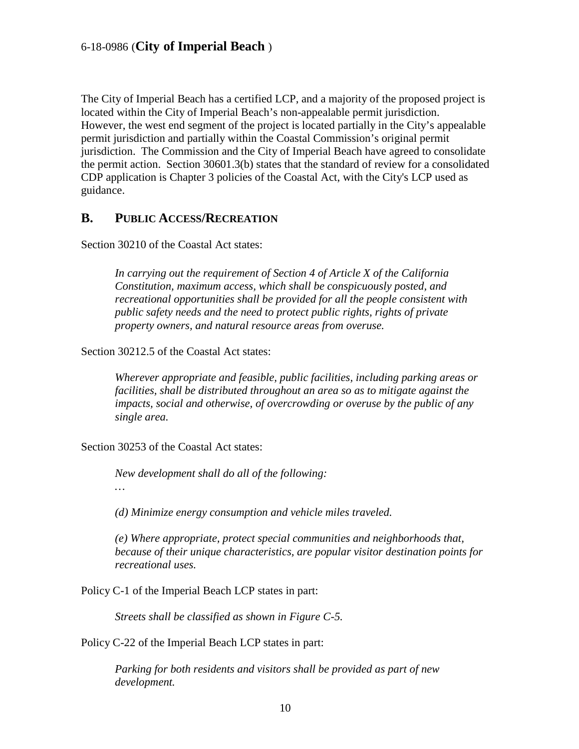The City of Imperial Beach has a certified LCP, and a majority of the proposed project is located within the City of Imperial Beach's non-appealable permit jurisdiction. However, the west end segment of the project is located partially in the City's appealable permit jurisdiction and partially within the Coastal Commission's original permit jurisdiction. The Commission and the City of Imperial Beach have agreed to consolidate the permit action. Section 30601.3(b) states that the standard of review for a consolidated CDP application is Chapter 3 policies of the Coastal Act, with the City's LCP used as guidance.

## <span id="page-9-0"></span>**B. PUBLIC ACCESS/RECREATION**

Section 30210 of the Coastal Act states:

*In carrying out the requirement of Section 4 of Article X of the California Constitution, maximum access, which shall be conspicuously posted, and recreational opportunities shall be provided for all the people consistent with public safety needs and the need to protect public rights, rights of private property owners, and natural resource areas from overuse.*

Section 30212.5 of the Coastal Act states:

*Wherever appropriate and feasible, public facilities, including parking areas or facilities, shall be distributed throughout an area so as to mitigate against the impacts, social and otherwise, of overcrowding or overuse by the public of any single area.* 

Section 30253 of the Coastal Act states:

*New development shall do all of the following: …*

*(d) Minimize energy consumption and vehicle miles traveled.* 

*(e) Where appropriate, protect special communities and neighborhoods that, because of their unique characteristics, are popular visitor destination points for recreational uses.*

Policy C-1 of the Imperial Beach LCP states in part:

*Streets shall be classified as shown in Figure C-5.*

Policy C-22 of the Imperial Beach LCP states in part:

*Parking for both residents and visitors shall be provided as part of new development.*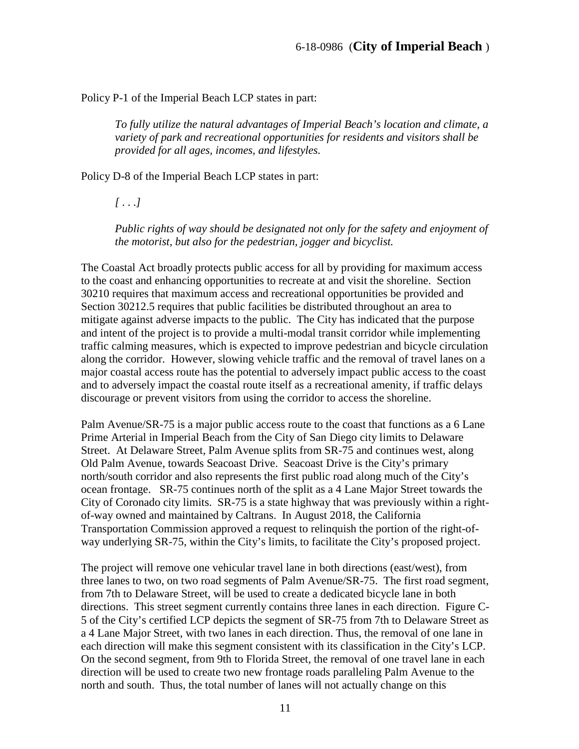Policy P-1 of the Imperial Beach LCP states in part:

*To fully utilize the natural advantages of Imperial Beach's location and climate, a variety of park and recreational opportunities for residents and visitors shall be provided for all ages, incomes, and lifestyles.*

Policy D-8 of the Imperial Beach LCP states in part:

*[ . . .]*

*Public rights of way should be designated not only for the safety and enjoyment of the motorist, but also for the pedestrian, jogger and bicyclist.*

The Coastal Act broadly protects public access for all by providing for maximum access to the coast and enhancing opportunities to recreate at and visit the shoreline. Section 30210 requires that maximum access and recreational opportunities be provided and Section 30212.5 requires that public facilities be distributed throughout an area to mitigate against adverse impacts to the public. The City has indicated that the purpose and intent of the project is to provide a multi-modal transit corridor while implementing traffic calming measures, which is expected to improve pedestrian and bicycle circulation along the corridor. However, slowing vehicle traffic and the removal of travel lanes on a major coastal access route has the potential to adversely impact public access to the coast and to adversely impact the coastal route itself as a recreational amenity, if traffic delays discourage or prevent visitors from using the corridor to access the shoreline.

Palm Avenue/SR-75 is a major public access route to the coast that functions as a 6 Lane Prime Arterial in Imperial Beach from the City of San Diego city limits to Delaware Street. At Delaware Street, Palm Avenue splits from SR-75 and continues west, along Old Palm Avenue, towards Seacoast Drive. Seacoast Drive is the City's primary north/south corridor and also represents the first public road along much of the City's ocean frontage. SR-75 continues north of the split as a 4 Lane Major Street towards the City of Coronado city limits. SR-75 is a state highway that was previously within a rightof-way owned and maintained by Caltrans. In August 2018, the California Transportation Commission approved a request to relinquish the portion of the right-ofway underlying SR-75, within the City's limits, to facilitate the City's proposed project.

The project will remove one vehicular travel lane in both directions (east/west), from three lanes to two, on two road segments of Palm Avenue/SR-75. The first road segment, from 7th to Delaware Street, will be used to create a dedicated bicycle lane in both directions. This street segment currently contains three lanes in each direction. Figure C-5 of the City's certified LCP depicts the segment of SR-75 from 7th to Delaware Street as a 4 Lane Major Street, with two lanes in each direction. Thus, the removal of one lane in each direction will make this segment consistent with its classification in the City's LCP. On the second segment, from 9th to Florida Street, the removal of one travel lane in each direction will be used to create two new frontage roads paralleling Palm Avenue to the north and south. Thus, the total number of lanes will not actually change on this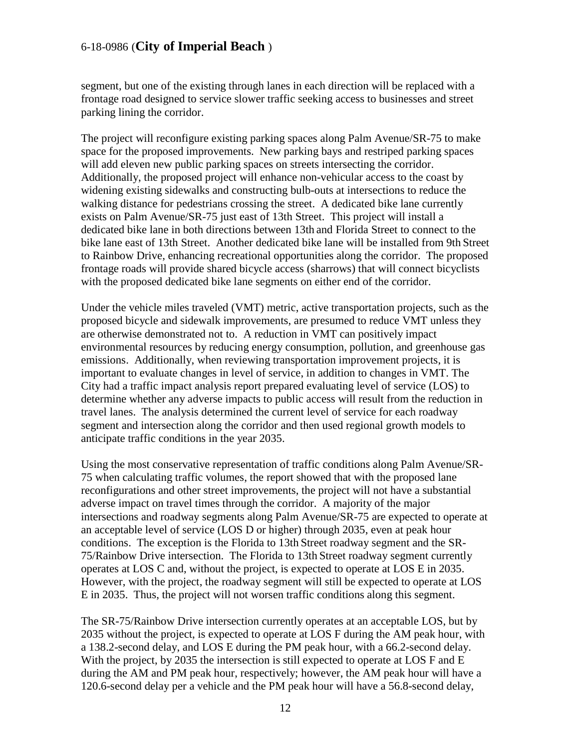segment, but one of the existing through lanes in each direction will be replaced with a frontage road designed to service slower traffic seeking access to businesses and street parking lining the corridor.

The project will reconfigure existing parking spaces along Palm Avenue/SR-75 to make space for the proposed improvements. New parking bays and restriped parking spaces will add eleven new public parking spaces on streets intersecting the corridor. Additionally, the proposed project will enhance non-vehicular access to the coast by widening existing sidewalks and constructing bulb-outs at intersections to reduce the walking distance for pedestrians crossing the street. A dedicated bike lane currently exists on Palm Avenue/SR-75 just east of 13th Street. This project will install a dedicated bike lane in both directions between 13th and Florida Street to connect to the bike lane east of 13th Street. Another dedicated bike lane will be installed from 9th Street to Rainbow Drive, enhancing recreational opportunities along the corridor. The proposed frontage roads will provide shared bicycle access (sharrows) that will connect bicyclists with the proposed dedicated bike lane segments on either end of the corridor.

Under the vehicle miles traveled (VMT) metric, active transportation projects, such as the proposed bicycle and sidewalk improvements, are presumed to reduce VMT unless they are otherwise demonstrated not to. A reduction in VMT can positively impact environmental resources by reducing energy consumption, pollution, and greenhouse gas emissions. Additionally, when reviewing transportation improvement projects, it is important to evaluate changes in level of service, in addition to changes in VMT. The City had a traffic impact analysis report prepared evaluating level of service (LOS) to determine whether any adverse impacts to public access will result from the reduction in travel lanes. The analysis determined the current level of service for each roadway segment and intersection along the corridor and then used regional growth models to anticipate traffic conditions in the year 2035.

Using the most conservative representation of traffic conditions along Palm Avenue/SR-75 when calculating traffic volumes, the report showed that with the proposed lane reconfigurations and other street improvements, the project will not have a substantial adverse impact on travel times through the corridor. A majority of the major intersections and roadway segments along Palm Avenue/SR-75 are expected to operate at an acceptable level of service (LOS D or higher) through 2035, even at peak hour conditions. The exception is the Florida to 13th Street roadway segment and the SR-75/Rainbow Drive intersection. The Florida to 13th Street roadway segment currently operates at LOS C and, without the project, is expected to operate at LOS E in 2035. However, with the project, the roadway segment will still be expected to operate at LOS E in 2035. Thus, the project will not worsen traffic conditions along this segment.

The SR-75/Rainbow Drive intersection currently operates at an acceptable LOS, but by 2035 without the project, is expected to operate at LOS F during the AM peak hour, with a 138.2-second delay, and LOS E during the PM peak hour, with a 66.2-second delay. With the project, by 2035 the intersection is still expected to operate at LOS F and E during the AM and PM peak hour, respectively; however, the AM peak hour will have a 120.6-second delay per a vehicle and the PM peak hour will have a 56.8-second delay,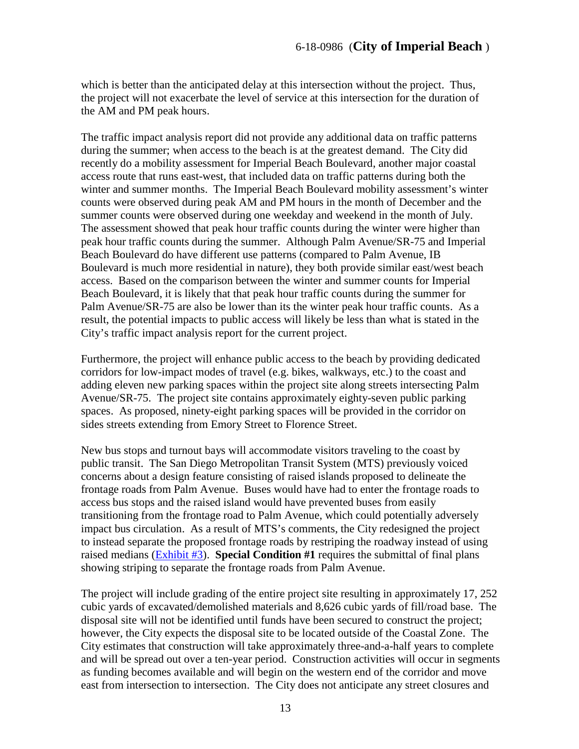which is better than the anticipated delay at this intersection without the project. Thus, the project will not exacerbate the level of service at this intersection for the duration of the AM and PM peak hours.

The traffic impact analysis report did not provide any additional data on traffic patterns during the summer; when access to the beach is at the greatest demand. The City did recently do a mobility assessment for Imperial Beach Boulevard, another major coastal access route that runs east-west, that included data on traffic patterns during both the winter and summer months. The Imperial Beach Boulevard mobility assessment's winter counts were observed during peak AM and PM hours in the month of December and the summer counts were observed during one weekday and weekend in the month of July. The assessment showed that peak hour traffic counts during the winter were higher than peak hour traffic counts during the summer. Although Palm Avenue/SR-75 and Imperial Beach Boulevard do have different use patterns (compared to Palm Avenue, IB Boulevard is much more residential in nature), they both provide similar east/west beach access. Based on the comparison between the winter and summer counts for Imperial Beach Boulevard, it is likely that that peak hour traffic counts during the summer for Palm Avenue/SR-75 are also be lower than its the winter peak hour traffic counts. As a result, the potential impacts to public access will likely be less than what is stated in the City's traffic impact analysis report for the current project.

Furthermore, the project will enhance public access to the beach by providing dedicated corridors for low-impact modes of travel (e.g. bikes, walkways, etc.) to the coast and adding eleven new parking spaces within the project site along streets intersecting Palm Avenue/SR-75. The project site contains approximately eighty-seven public parking spaces. As proposed, ninety-eight parking spaces will be provided in the corridor on sides streets extending from Emory Street to Florence Street.

New bus stops and turnout bays will accommodate visitors traveling to the coast by public transit. The San Diego Metropolitan Transit System (MTS) previously voiced concerns about a design feature consisting of raised islands proposed to delineate the frontage roads from Palm Avenue. Buses would have had to enter the frontage roads to access bus stops and the raised island would have prevented buses from easily transitioning from the frontage road to Palm Avenue, which could potentially adversely impact bus circulation. As a result of MTS's comments, the City redesigned the project to instead separate the proposed frontage roads by restriping the roadway instead of using raised medians [\(Exhibit #3\)](https://documents.coastal.ca.gov/reports/2018/12/th21c/th21c-12-2018-exhibits.pdf). **Special Condition #1** requires the submittal of final plans showing striping to separate the frontage roads from Palm Avenue.

The project will include grading of the entire project site resulting in approximately 17, 252 cubic yards of excavated/demolished materials and 8,626 cubic yards of fill/road base. The disposal site will not be identified until funds have been secured to construct the project; however, the City expects the disposal site to be located outside of the Coastal Zone. The City estimates that construction will take approximately three-and-a-half years to complete and will be spread out over a ten-year period. Construction activities will occur in segments as funding becomes available and will begin on the western end of the corridor and move east from intersection to intersection. The City does not anticipate any street closures and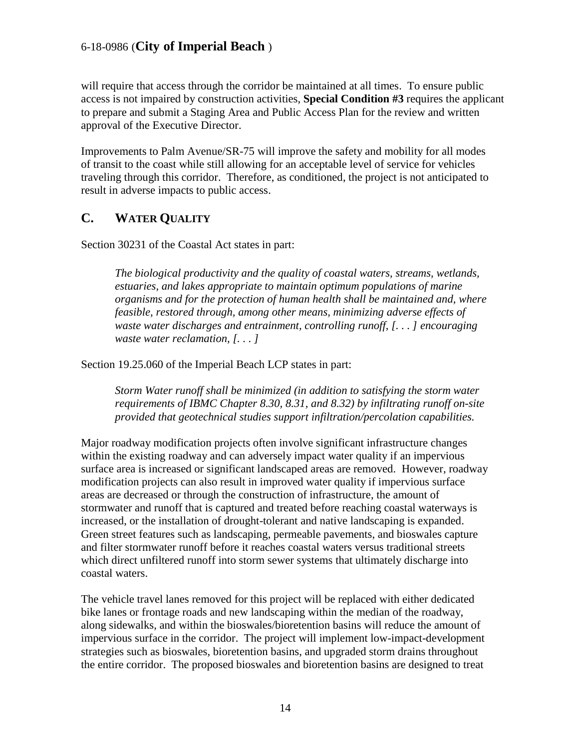will require that access through the corridor be maintained at all times. To ensure public access is not impaired by construction activities, **Special Condition #3** requires the applicant to prepare and submit a Staging Area and Public Access Plan for the review and written approval of the Executive Director.

Improvements to Palm Avenue/SR-75 will improve the safety and mobility for all modes of transit to the coast while still allowing for an acceptable level of service for vehicles traveling through this corridor. Therefore, as conditioned, the project is not anticipated to result in adverse impacts to public access.

# <span id="page-13-0"></span>**C. WATER QUALITY**

Section 30231 of the Coastal Act states in part:

*The biological productivity and the quality of coastal waters, streams, wetlands, estuaries, and lakes appropriate to maintain optimum populations of marine organisms and for the protection of human health shall be maintained and, where feasible, restored through, among other means, minimizing adverse effects of waste water discharges and entrainment, controlling runoff, [. . . ] encouraging waste water reclamation, [. . . ]*

Section 19.25.060 of the Imperial Beach LCP states in part:

*Storm Water runoff shall be minimized (in addition to satisfying the storm water requirements of IBMC Chapter 8.30, 8.31, and 8.32) by infiltrating runoff on-site provided that geotechnical studies support infiltration/percolation capabilities.*

Major roadway modification projects often involve significant infrastructure changes within the existing roadway and can adversely impact water quality if an impervious surface area is increased or significant landscaped areas are removed. However, roadway modification projects can also result in improved water quality if impervious surface areas are decreased or through the construction of infrastructure, the amount of stormwater and runoff that is captured and treated before reaching coastal waterways is increased, or the installation of drought-tolerant and native landscaping is expanded. Green street features such as landscaping, permeable pavements, and bioswales capture and filter stormwater runoff before it reaches coastal waters versus traditional streets which direct unfiltered runoff into storm sewer systems that ultimately discharge into coastal waters.

The vehicle travel lanes removed for this project will be replaced with either dedicated bike lanes or frontage roads and new landscaping within the median of the roadway, along sidewalks, and within the bioswales/bioretention basins will reduce the amount of impervious surface in the corridor. The project will implement low-impact-development strategies such as bioswales, bioretention basins, and upgraded storm drains throughout the entire corridor. The proposed bioswales and bioretention basins are designed to treat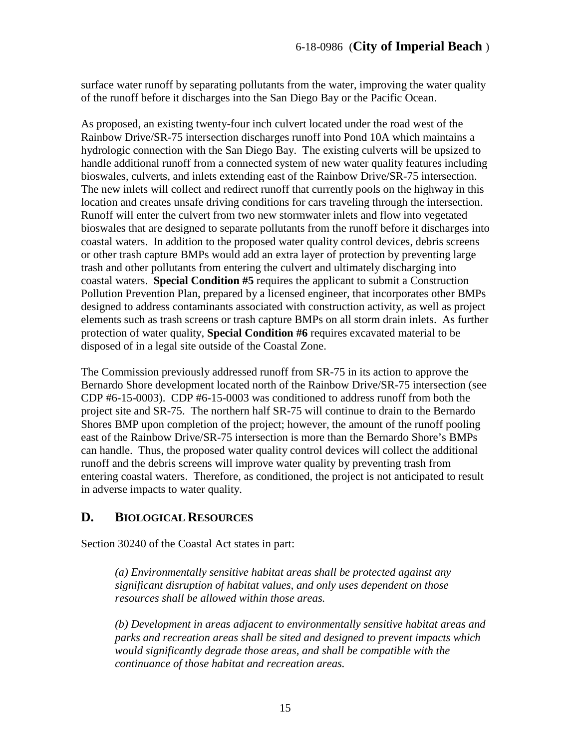surface water runoff by separating pollutants from the water, improving the water quality of the runoff before it discharges into the San Diego Bay or the Pacific Ocean.

As proposed, an existing twenty-four inch culvert located under the road west of the Rainbow Drive/SR-75 intersection discharges runoff into Pond 10A which maintains a hydrologic connection with the San Diego Bay. The existing culverts will be upsized to handle additional runoff from a connected system of new water quality features including bioswales, culverts, and inlets extending east of the Rainbow Drive/SR-75 intersection. The new inlets will collect and redirect runoff that currently pools on the highway in this location and creates unsafe driving conditions for cars traveling through the intersection. Runoff will enter the culvert from two new stormwater inlets and flow into vegetated bioswales that are designed to separate pollutants from the runoff before it discharges into coastal waters. In addition to the proposed water quality control devices, debris screens or other trash capture BMPs would add an extra layer of protection by preventing large trash and other pollutants from entering the culvert and ultimately discharging into coastal waters. **Special Condition #5** requires the applicant to submit a Construction Pollution Prevention Plan, prepared by a licensed engineer, that incorporates other BMPs designed to address contaminants associated with construction activity, as well as project elements such as trash screens or trash capture BMPs on all storm drain inlets. As further protection of water quality, **Special Condition #6** requires excavated material to be disposed of in a legal site outside of the Coastal Zone.

The Commission previously addressed runoff from SR-75 in its action to approve the Bernardo Shore development located north of the Rainbow Drive/SR-75 intersection (see CDP #6-15-0003). CDP #6-15-0003 was conditioned to address runoff from both the project site and SR-75. The northern half SR-75 will continue to drain to the Bernardo Shores BMP upon completion of the project; however, the amount of the runoff pooling east of the Rainbow Drive/SR-75 intersection is more than the Bernardo Shore's BMPs can handle. Thus, the proposed water quality control devices will collect the additional runoff and the debris screens will improve water quality by preventing trash from entering coastal waters. Therefore, as conditioned, the project is not anticipated to result in adverse impacts to water quality.

## <span id="page-14-0"></span>**D. BIOLOGICAL RESOURCES**

Section 30240 of the Coastal Act states in part:

*(a) Environmentally sensitive habitat areas shall be protected against any significant disruption of habitat values, and only uses dependent on those resources shall be allowed within those areas.*

*(b) Development in areas adjacent to environmentally sensitive habitat areas and parks and recreation areas shall be sited and designed to prevent impacts which would significantly degrade those areas, and shall be compatible with the continuance of those habitat and recreation areas.*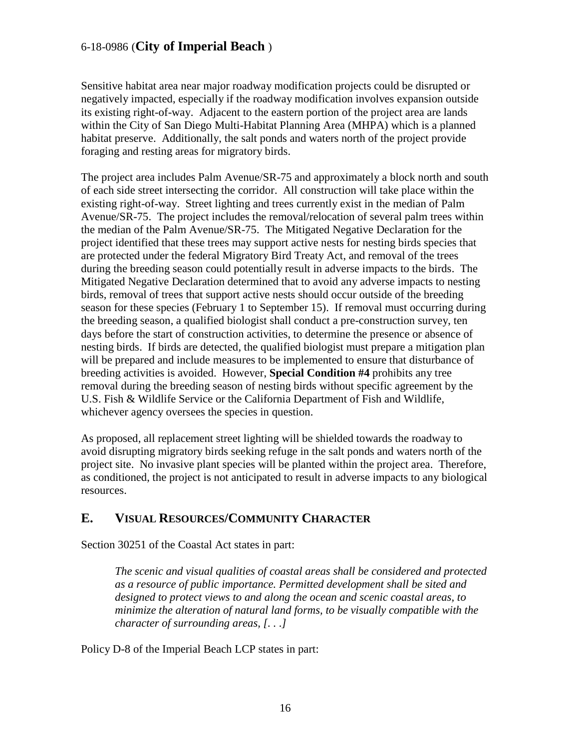Sensitive habitat area near major roadway modification projects could be disrupted or negatively impacted, especially if the roadway modification involves expansion outside its existing right-of-way. Adjacent to the eastern portion of the project area are lands within the City of San Diego Multi-Habitat Planning Area (MHPA) which is a planned habitat preserve. Additionally, the salt ponds and waters north of the project provide foraging and resting areas for migratory birds.

The project area includes Palm Avenue/SR-75 and approximately a block north and south of each side street intersecting the corridor. All construction will take place within the existing right-of-way. Street lighting and trees currently exist in the median of Palm Avenue/SR-75. The project includes the removal/relocation of several palm trees within the median of the Palm Avenue/SR-75. The Mitigated Negative Declaration for the project identified that these trees may support active nests for nesting birds species that are protected under the federal Migratory Bird Treaty Act, and removal of the trees during the breeding season could potentially result in adverse impacts to the birds. The Mitigated Negative Declaration determined that to avoid any adverse impacts to nesting birds, removal of trees that support active nests should occur outside of the breeding season for these species (February 1 to September 15). If removal must occurring during the breeding season, a qualified biologist shall conduct a pre-construction survey, ten days before the start of construction activities, to determine the presence or absence of nesting birds. If birds are detected, the qualified biologist must prepare a mitigation plan will be prepared and include measures to be implemented to ensure that disturbance of breeding activities is avoided. However, **Special Condition #4** prohibits any tree removal during the breeding season of nesting birds without specific agreement by the U.S. Fish & Wildlife Service or the California Department of Fish and Wildlife, whichever agency oversees the species in question.

As proposed, all replacement street lighting will be shielded towards the roadway to avoid disrupting migratory birds seeking refuge in the salt ponds and waters north of the project site. No invasive plant species will be planted within the project area. Therefore, as conditioned, the project is not anticipated to result in adverse impacts to any biological resources.

# <span id="page-15-0"></span>**E. VISUAL RESOURCES/COMMUNITY CHARACTER**

Section 30251 of the Coastal Act states in part:

*The scenic and visual qualities of coastal areas shall be considered and protected as a resource of public importance. Permitted development shall be sited and designed to protect views to and along the ocean and scenic coastal areas, to minimize the alteration of natural land forms, to be visually compatible with the character of surrounding areas, [. . .]*

Policy D-8 of the Imperial Beach LCP states in part: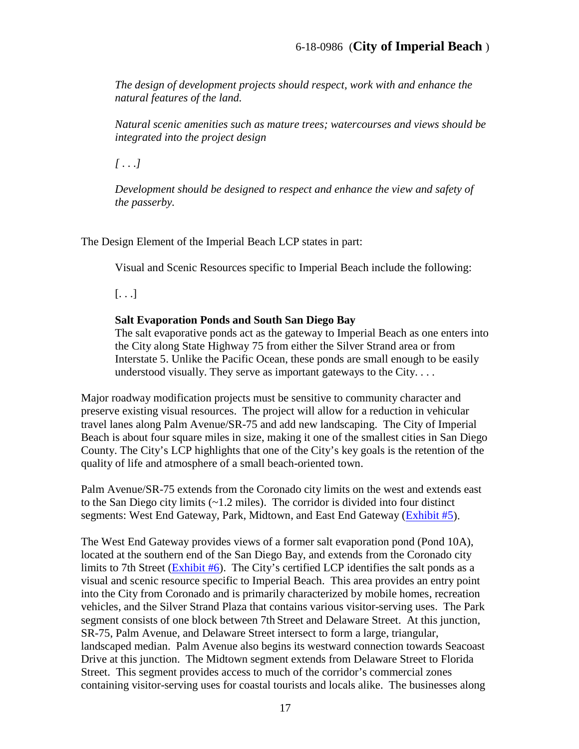*The design of development projects should respect, work with and enhance the natural features of the land.*

*Natural scenic amenities such as mature trees; watercourses and views should be integrated into the project design*

*[ . . .]*

*Development should be designed to respect and enhance the view and safety of the passerby.* 

The Design Element of the Imperial Beach LCP states in part:

Visual and Scenic Resources specific to Imperial Beach include the following:

 $[\ldots]$ 

#### **Salt Evaporation Ponds and South San Diego Bay**

The salt evaporative ponds act as the gateway to Imperial Beach as one enters into the City along State Highway 75 from either the Silver Strand area or from Interstate 5. Unlike the Pacific Ocean, these ponds are small enough to be easily understood visually. They serve as important gateways to the City....

Major roadway modification projects must be sensitive to community character and preserve existing visual resources. The project will allow for a reduction in vehicular travel lanes along Palm Avenue/SR-75 and add new landscaping. The City of Imperial Beach is about four square miles in size, making it one of the smallest cities in San Diego County. The City's LCP highlights that one of the City's key goals is the retention of the quality of life and atmosphere of a small beach-oriented town.

Palm Avenue/SR-75 extends from the Coronado city limits on the west and extends east to the San Diego city limits  $(\sim 1.2 \text{ miles})$ . The corridor is divided into four distinct segments: West End Gateway, Park, Midtown, and East End Gateway [\(Exhibit #5\)](https://documents.coastal.ca.gov/reports/2018/12/th21c/th21c-12-2018-exhibits.pdf).

The West End Gateway provides views of a former salt evaporation pond (Pond 10A), located at the southern end of the San Diego Bay, and extends from the Coronado city limits to 7th Street [\(Exhibit #6\)](https://documents.coastal.ca.gov/reports/2018/12/th21c/th21c-12-2018-exhibits.pdf). The City's certified LCP identifies the salt ponds as a visual and scenic resource specific to Imperial Beach. This area provides an entry point into the City from Coronado and is primarily characterized by mobile homes, recreation vehicles, and the Silver Strand Plaza that contains various visitor-serving uses. The Park segment consists of one block between 7th Street and Delaware Street. At this junction, SR-75, Palm Avenue, and Delaware Street intersect to form a large, triangular, landscaped median. Palm Avenue also begins its westward connection towards Seacoast Drive at this junction. The Midtown segment extends from Delaware Street to Florida Street. This segment provides access to much of the corridor's commercial zones containing visitor-serving uses for coastal tourists and locals alike. The businesses along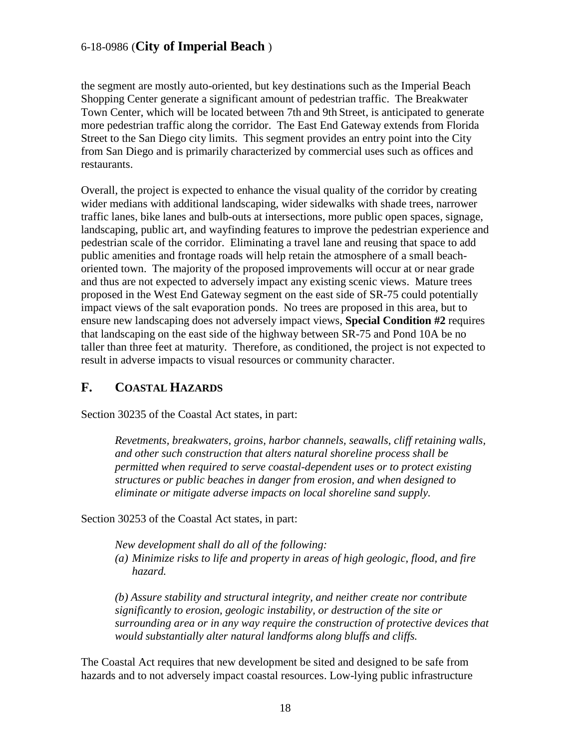the segment are mostly auto-oriented, but key destinations such as the Imperial Beach Shopping Center generate a significant amount of pedestrian traffic. The Breakwater Town Center, which will be located between 7th and 9th Street, is anticipated to generate more pedestrian traffic along the corridor. The East End Gateway extends from Florida Street to the San Diego city limits. This segment provides an entry point into the City from San Diego and is primarily characterized by commercial uses such as offices and restaurants.

Overall, the project is expected to enhance the visual quality of the corridor by creating wider medians with additional landscaping, wider sidewalks with shade trees, narrower traffic lanes, bike lanes and bulb-outs at intersections, more public open spaces, signage, landscaping, public art, and wayfinding features to improve the pedestrian experience and pedestrian scale of the corridor. Eliminating a travel lane and reusing that space to add public amenities and frontage roads will help retain the atmosphere of a small beachoriented town. The majority of the proposed improvements will occur at or near grade and thus are not expected to adversely impact any existing scenic views. Mature trees proposed in the West End Gateway segment on the east side of SR-75 could potentially impact views of the salt evaporation ponds. No trees are proposed in this area, but to ensure new landscaping does not adversely impact views, **Special Condition #2** requires that landscaping on the east side of the highway between SR-75 and Pond 10A be no taller than three feet at maturity. Therefore, as conditioned, the project is not expected to result in adverse impacts to visual resources or community character.

## <span id="page-17-0"></span>**F. COASTAL HAZARDS**

Section 30235 of the Coastal Act states, in part:

*Revetments, breakwaters, groins, harbor channels, seawalls, cliff retaining walls, and other such construction that alters natural shoreline process shall be permitted when required to serve coastal-dependent uses or to protect existing structures or public beaches in danger from erosion, and when designed to eliminate or mitigate adverse impacts on local shoreline sand supply.*

Section 30253 of the Coastal Act states, in part:

*New development shall do all of the following: (a) Minimize risks to life and property in areas of high geologic, flood, and fire hazard.* 

*(b) Assure stability and structural integrity, and neither create nor contribute significantly to erosion, geologic instability, or destruction of the site or surrounding area or in any way require the construction of protective devices that would substantially alter natural landforms along bluffs and cliffs.*

The Coastal Act requires that new development be sited and designed to be safe from hazards and to not adversely impact coastal resources. Low-lying public infrastructure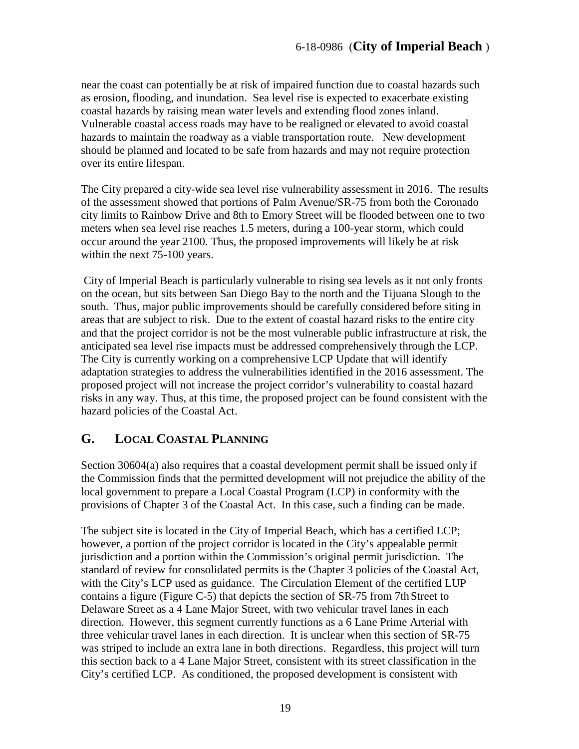near the coast can potentially be at risk of impaired function due to coastal hazards such as erosion, flooding, and inundation. Sea level rise is expected to exacerbate existing coastal hazards by raising mean water levels and extending flood zones inland. Vulnerable coastal access roads may have to be realigned or elevated to avoid coastal hazards to maintain the roadway as a viable transportation route. New development should be planned and located to be safe from hazards and may not require protection over its entire lifespan.

The City prepared a city-wide sea level rise vulnerability assessment in 2016. The results of the assessment showed that portions of Palm Avenue/SR-75 from both the Coronado city limits to Rainbow Drive and 8th to Emory Street will be flooded between one to two meters when sea level rise reaches 1.5 meters, during a 100-year storm, which could occur around the year 2100. Thus, the proposed improvements will likely be at risk within the next 75-100 years.

City of Imperial Beach is particularly vulnerable to rising sea levels as it not only fronts on the ocean, but sits between San Diego Bay to the north and the Tijuana Slough to the south. Thus, major public improvements should be carefully considered before siting in areas that are subject to risk. Due to the extent of coastal hazard risks to the entire city and that the project corridor is not be the most vulnerable public infrastructure at risk, the anticipated sea level rise impacts must be addressed comprehensively through the LCP. The City is currently working on a comprehensive LCP Update that will identify adaptation strategies to address the vulnerabilities identified in the 2016 assessment. The proposed project will not increase the project corridor's vulnerability to coastal hazard risks in any way. Thus, at this time, the proposed project can be found consistent with the hazard policies of the Coastal Act.

# <span id="page-18-0"></span>**G. LOCAL COASTAL PLANNING**

Section 30604(a) also requires that a coastal development permit shall be issued only if the Commission finds that the permitted development will not prejudice the ability of the local government to prepare a Local Coastal Program (LCP) in conformity with the provisions of Chapter 3 of the Coastal Act. In this case, such a finding can be made.

The subject site is located in the City of Imperial Beach, which has a certified LCP; however, a portion of the project corridor is located in the City's appealable permit jurisdiction and a portion within the Commission's original permit jurisdiction. The standard of review for consolidated permits is the Chapter 3 policies of the Coastal Act, with the City's LCP used as guidance. The Circulation Element of the certified LUP contains a figure (Figure C-5) that depicts the section of SR-75 from 7th Street to Delaware Street as a 4 Lane Major Street, with two vehicular travel lanes in each direction. However, this segment currently functions as a 6 Lane Prime Arterial with three vehicular travel lanes in each direction. It is unclear when this section of SR-75 was striped to include an extra lane in both directions. Regardless, this project will turn this section back to a 4 Lane Major Street, consistent with its street classification in the City's certified LCP. As conditioned, the proposed development is consistent with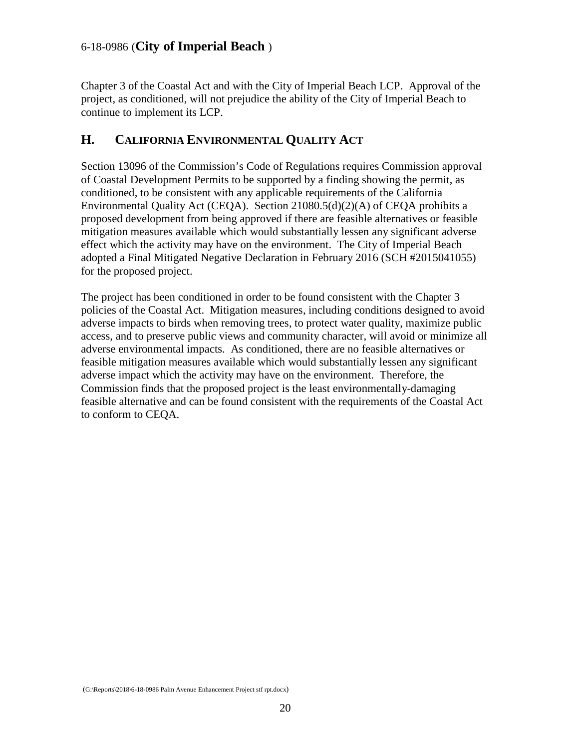Chapter 3 of the Coastal Act and with the City of Imperial Beach LCP. Approval of the project, as conditioned, will not prejudice the ability of the City of Imperial Beach to continue to implement its LCP.

# <span id="page-19-0"></span>**H. CALIFORNIA ENVIRONMENTAL QUALITY ACT**

Section 13096 of the Commission's Code of Regulations requires Commission approval of Coastal Development Permits to be supported by a finding showing the permit, as conditioned, to be consistent with any applicable requirements of the California Environmental Quality Act (CEQA). Section 21080.5(d)(2)(A) of CEQA prohibits a proposed development from being approved if there are feasible alternatives or feasible mitigation measures available which would substantially lessen any significant adverse effect which the activity may have on the environment. The City of Imperial Beach adopted a Final Mitigated Negative Declaration in February 2016 (SCH #2015041055) for the proposed project.

The project has been conditioned in order to be found consistent with the Chapter 3 policies of the Coastal Act. Mitigation measures, including conditions designed to avoid adverse impacts to birds when removing trees, to protect water quality, maximize public access, and to preserve public views and community character, will avoid or minimize all adverse environmental impacts. As conditioned, there are no feasible alternatives or feasible mitigation measures available which would substantially lessen any significant adverse impact which the activity may have on the environment. Therefore, the Commission finds that the proposed project is the least environmentally-damaging feasible alternative and can be found consistent with the requirements of the Coastal Act to conform to CEQA.